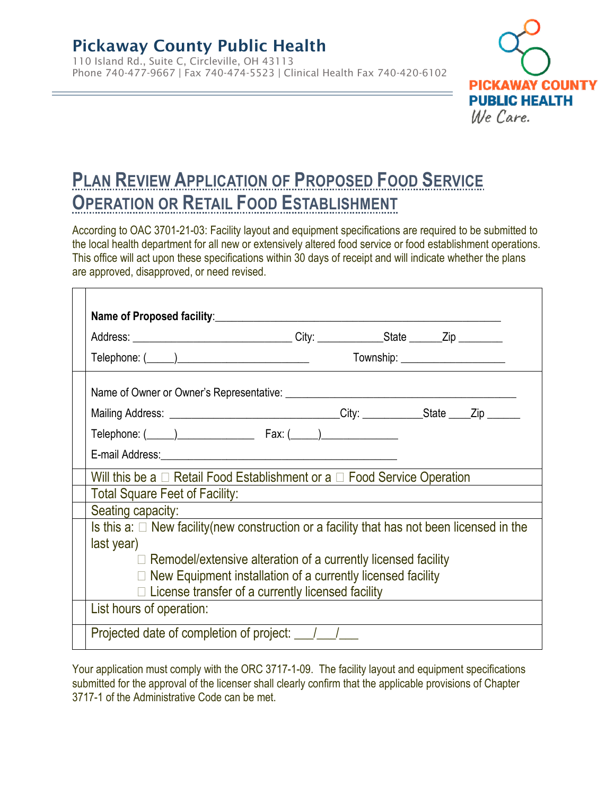$\Box$ 

110 Island Rd., Suite C, Circleville, OH 43113 Phone 740-477-9667 | Fax 740-474-5523 | Clinical Health Fax 740-420-6102



# **PLAN REVIEW APPLICATION OF PROPOSED FOOD SERVICE OPERATION OR RETAIL FOOD ESTABLISHMENT**

According to OAC 3701-21-03: Facility layout and equipment specifications are required to be submitted to the local health department for all new or extensively altered food service or food establishment operations. This office will act upon these specifications within 30 days of receipt and will indicate whether the plans are approved, disapproved, or need revised.

|                                                                                                  |                                                                                                                      | Township: ______________________ |  |
|--------------------------------------------------------------------------------------------------|----------------------------------------------------------------------------------------------------------------------|----------------------------------|--|
|                                                                                                  |                                                                                                                      |                                  |  |
| Mailing Address: _______________________________City: ____________State ____Zip ______           |                                                                                                                      |                                  |  |
|                                                                                                  |                                                                                                                      |                                  |  |
|                                                                                                  |                                                                                                                      |                                  |  |
| Will this be a $\Box$ Retail Food Establishment or a $\Box$ Food Service Operation               |                                                                                                                      |                                  |  |
| <b>Total Square Feet of Facility:</b>                                                            | <u> 1980 - Jan Samuel Barbara, martin da shekara 1980 - An tsa a tsa a tsa a tsa a tsa a tsa a tsa a tsa a tsa a</u> |                                  |  |
| Seating capacity:                                                                                |                                                                                                                      |                                  |  |
| Is this a: $\Box$ New facility (new construction or a facility that has not been licensed in the |                                                                                                                      |                                  |  |
| last year)                                                                                       |                                                                                                                      |                                  |  |
| $\Box$ Remodel/extensive alteration of a currently licensed facility                             |                                                                                                                      |                                  |  |
| $\Box$ New Equipment installation of a currently licensed facility                               |                                                                                                                      |                                  |  |
| $\Box$ License transfer of a currently licensed facility                                         |                                                                                                                      |                                  |  |
| List hours of operation:                                                                         |                                                                                                                      |                                  |  |
|                                                                                                  | Projected date of completion of project: 1/1/2                                                                       |                                  |  |

Your application must comply with the ORC 3717-1-09. The facility layout and equipment specifications submitted for the approval of the licenser shall clearly confirm that the applicable provisions of Chapter 3717-1 of the Administrative Code can be met.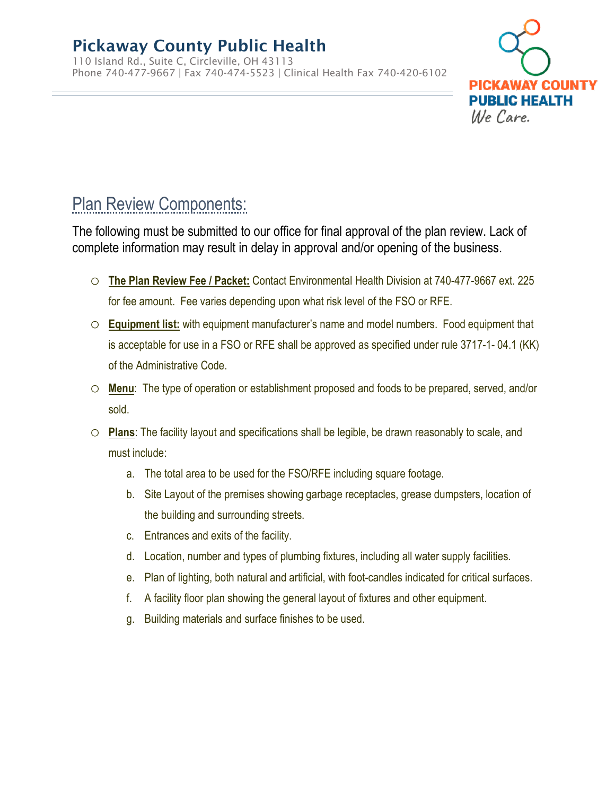110 Island Rd., Suite C, Circleville, OH 43113 Phone 740-477-9667 | Fax 740-474-5523 | Clinical Health Fax 740-420-6102



# Plan Review Components:

The following must be submitted to our office for final approval of the plan review. Lack of complete information may result in delay in approval and/or opening of the business.

- o **The Plan Review Fee / Packet:** Contact Environmental Health Division at 740-477-9667 ext. 225 for fee amount. Fee varies depending upon what risk level of the FSO or RFE.
- o **Equipment list:** with equipment manufacturer's name and model numbers. Food equipment that is acceptable for use in a FSO or RFE shall be approved as specified under rule 3717-1- 04.1 (KK) of the Administrative Code.
- o **Menu**: The type of operation or establishment proposed and foods to be prepared, served, and/or sold.
- o **Plans**: The facility layout and specifications shall be legible, be drawn reasonably to scale, and must include:
	- a. The total area to be used for the FSO/RFE including square footage.
	- b. Site Layout of the premises showing garbage receptacles, grease dumpsters, location of the building and surrounding streets.
	- c. Entrances and exits of the facility.
	- d. Location, number and types of plumbing fixtures, including all water supply facilities.
	- e. Plan of lighting, both natural and artificial, with foot-candles indicated for critical surfaces.
	- f. A facility floor plan showing the general layout of fixtures and other equipment.
	- g. Building materials and surface finishes to be used.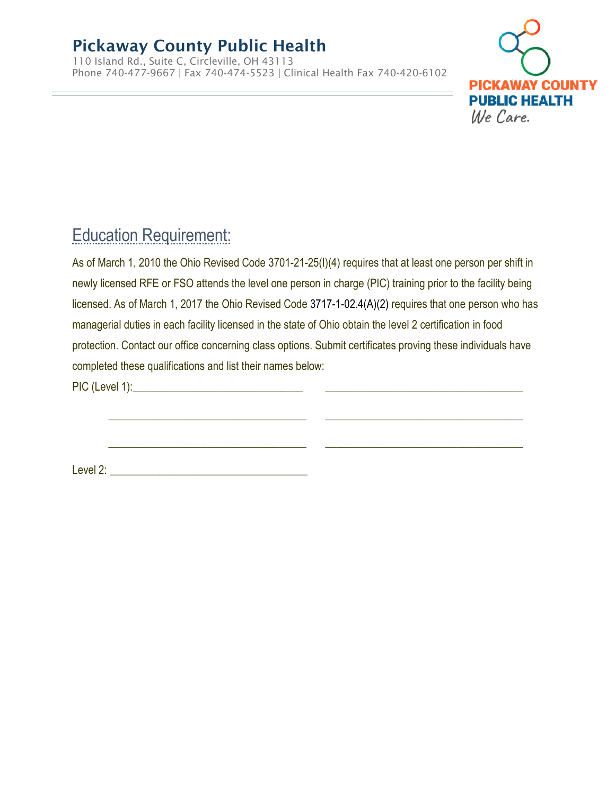110 Island Rd., Suite C, Circleville, OH 43113 Phone 740-477-9667 | Fax 740-474-5523 | Clinical Health Fax 740-420-6102



# Education Requirement:

As of March 1, 2010 the Ohio Revised Code 3701-21-25(I)(4) requires that at least one person per shift in newly licensed RFE or FSO attends the level one person in charge (PIC) training prior to the facility being licensed. As of March 1, 2017 the Ohio Revised Code 3717-1-02.4(A)(2) requires that one person who has managerial duties in each facility licensed in the state of Ohio obtain the level 2 certification in food protection. Contact our office concerning class options. Submit certificates proving these individuals have completed these qualifications and list their names below:

\_\_\_\_\_\_\_\_\_\_\_\_\_\_\_\_\_\_\_\_\_\_\_\_\_\_\_\_\_\_\_\_\_\_\_\_ \_\_\_\_\_\_\_\_\_\_\_\_\_\_\_\_\_\_\_\_\_\_\_\_\_\_\_\_\_\_\_\_\_\_\_\_

PIC (Level 1):\_\_\_\_\_\_\_\_\_\_\_\_\_\_\_\_\_\_\_\_\_\_\_\_\_\_\_\_\_\_\_ \_\_\_\_\_\_\_\_\_\_\_\_\_\_\_\_\_\_\_\_\_\_\_\_\_\_\_\_\_\_\_\_\_\_\_\_

Level 2: \_\_\_\_\_\_\_\_\_\_\_\_\_\_\_\_\_\_\_\_\_\_\_\_\_\_\_\_\_\_\_\_\_\_\_\_

 $\_$  ,  $\_$  ,  $\_$  ,  $\_$  ,  $\_$  ,  $\_$  ,  $\_$  ,  $\_$  ,  $\_$  ,  $\_$  ,  $\_$  ,  $\_$  ,  $\_$  ,  $\_$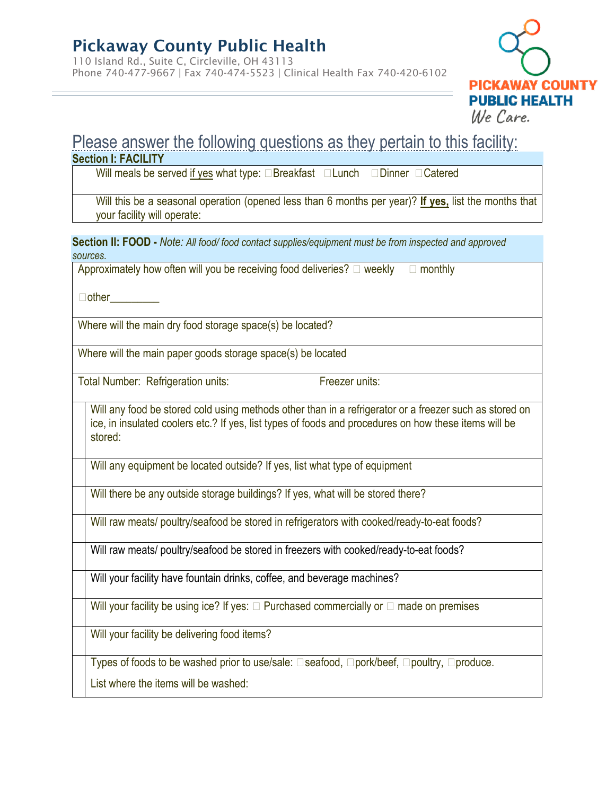110 Island Rd., Suite C, Circleville, OH 43113 Phone 740-477-9667 | Fax 740-474-5523 | Clinical Health Fax 740-420-6102



#### Please answer the following questions as they pertain to this facility: **Section I: FACILITY**

Will meals be served if yes what type:  $\Box$ Breakfast  $\Box$ Lunch  $\Box$ Dinner  $\Box$ Catered

Will this be a seasonal operation (opened less than 6 months per year)? **If yes,** list the months that your facility will operate:

**Section II: FOOD -** *Note: All food/ food contact supplies/equipment must be from inspected and approved sources.* 

Approximately how often will you be receiving food deliveries?  $\Box$  weekly  $\Box$  monthly

 $\Box$ other

Where will the main dry food storage space(s) be located?

Where will the main paper goods storage space(s) be located

Total Number: Refrigeration units: Freezer units:

Will any food be stored cold using methods other than in a refrigerator or a freezer such as stored on ice, in insulated coolers etc.? If yes, list types of foods and procedures on how these items will be stored:

Will any equipment be located outside? If yes, list what type of equipment

Will there be any outside storage buildings? If yes, what will be stored there?

Will raw meats/ poultry/seafood be stored in refrigerators with cooked/ready-to-eat foods?

Will raw meats/ poultry/seafood be stored in freezers with cooked/ready-to-eat foods?

Will your facility have fountain drinks, coffee, and beverage machines?

Will your facility be using ice? If yes:  $\Box$  Purchased commercially or  $\Box$  made on premises

Will your facility be delivering food items?

Types of foods to be washed prior to use/sale:  $\square$  seafood,  $\square$  pork/beef,  $\square$  poultry,  $\square$  produce.

List where the items will be washed: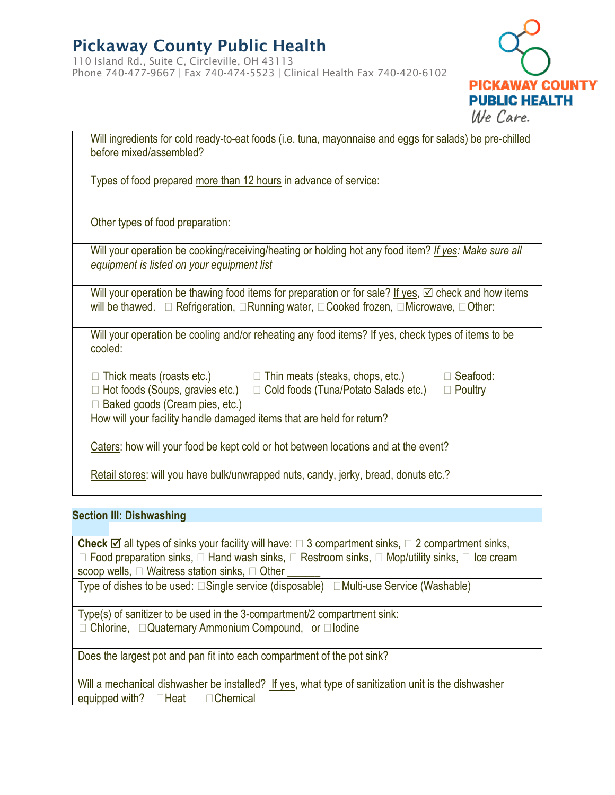110 Island Rd., Suite C, Circleville, OH 43113 Phone 740-477-9667 | Fax 740-474-5523 | Clinical Health Fax 740-420-6102



| Will ingredients for cold ready-to-eat foods (i.e. tuna, mayonnaise and eggs for salads) be pre-chilled<br>before mixed/assembled?                                                                                          |  |  |  |  |
|-----------------------------------------------------------------------------------------------------------------------------------------------------------------------------------------------------------------------------|--|--|--|--|
| Types of food prepared more than 12 hours in advance of service:                                                                                                                                                            |  |  |  |  |
| Other types of food preparation:                                                                                                                                                                                            |  |  |  |  |
| Will your operation be cooking/receiving/heating or holding hot any food item? If yes: Make sure all<br>equipment is listed on your equipment list                                                                          |  |  |  |  |
| Will your operation be thawing food items for preparation or for sale? If yes, $\boxtimes$ check and how items                                                                                                              |  |  |  |  |
| Will your operation be cooling and/or reheating any food items? If yes, check types of items to be<br>cooled:                                                                                                               |  |  |  |  |
| $\Box$ Thick meats (roasts etc.) $\Box$ Thin meats (steaks, chops, etc.) $\Box$ Seafood:<br>Hot foods (Soups, gravies etc.) $\Box$ Cold foods (Tuna/Potato Salads etc.)<br>$\Box$ Poultry<br>Baked goods (Cream pies, etc.) |  |  |  |  |
| How will your facility handle damaged items that are held for return?                                                                                                                                                       |  |  |  |  |
| Caters: how will your food be kept cold or hot between locations and at the event?                                                                                                                                          |  |  |  |  |
| Retail stores: will you have bulk/unwrapped nuts, candy, jerky, bread, donuts etc.?                                                                                                                                         |  |  |  |  |

#### **Section III: Dishwashing**

**Check**  $\boxtimes$  all types of sinks your facility will have:  $\Box$  3 compartment sinks,  $\Box$  2 compartment sinks,  $\Box$  Food preparation sinks,  $\Box$  Hand wash sinks,  $\Box$  Restroom sinks,  $\Box$  Mop/utility sinks,  $\Box$  Ice cream scoop wells,  $\Box$  Waitress station sinks,  $\Box$  Other Type of dishes to be used:  $\square$  Single service (disposable)  $\square$  Multi-use Service (Washable) Type(s) of sanitizer to be used in the 3-compartment/2 compartment sink:

 $\Box$  Chlorine,  $\Box$  Quaternary Ammonium Compound, or  $\Box$  Iodine

Does the largest pot and pan fit into each compartment of the pot sink?

Will a mechanical dishwasher be installed? If yes, what type of sanitization unit is the dishwasher equipped with?  $\Box$  Heat  $\Box$  Chemical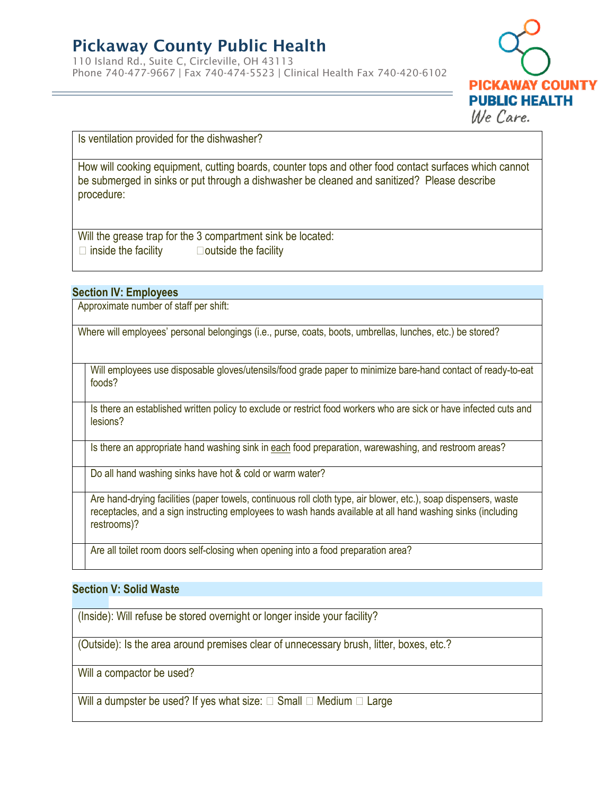110 Island Rd., Suite C, Circleville, OH 43113 Phone 740-477-9667 | Fax 740-474-5523 | Clinical Health Fax 740-420-6102



Is ventilation provided for the dishwasher?

How will cooking equipment, cutting boards, counter tops and other food contact surfaces which cannot be submerged in sinks or put through a dishwasher be cleaned and sanitized? Please describe procedure:

Will the grease trap for the 3 compartment sink be located:  $\Box$  inside the facility  $\Box$  outside the facility

#### **Section IV: Employees**

Approximate number of staff per shift:

Where will employees' personal belongings (i.e., purse, coats, boots, umbrellas, lunches, etc.) be stored?

Will employees use disposable gloves/utensils/food grade paper to minimize bare-hand contact of ready-to-eat foods?

Is there an established written policy to exclude or restrict food workers who are sick or have infected cuts and lesions?

Is there an appropriate hand washing sink in each food preparation, warewashing, and restroom areas?

Do all hand washing sinks have hot & cold or warm water?

Are hand-drying facilities (paper towels, continuous roll cloth type, air blower, etc.), soap dispensers, waste receptacles, and a sign instructing employees to wash hands available at all hand washing sinks (including restrooms)?

Are all toilet room doors self-closing when opening into a food preparation area?

#### **Section V: Solid Waste**

(Inside): Will refuse be stored overnight or longer inside your facility?

(Outside): Is the area around premises clear of unnecessary brush, litter, boxes, etc.?

Will a compactor be used?

Will a dumpster be used? If yes what size:  $\Box$  Small  $\Box$  Medium  $\Box$  Large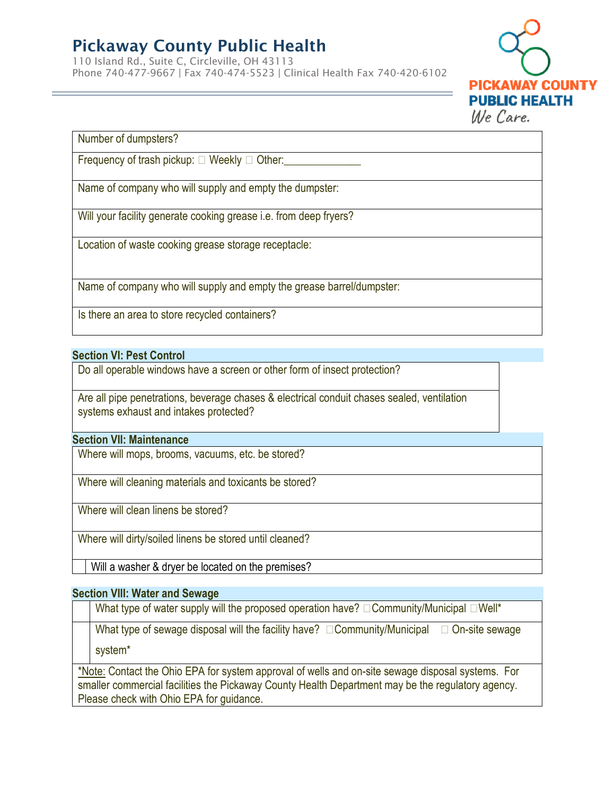110 Island Rd., Suite C, Circleville, OH 43113 Phone 740-477-9667 | Fax 740-474-5523 | Clinical Health Fax 740-420-6102



Number of dumpsters?

Frequency of trash pickup:  $\Box$  Weekly  $\Box$  Other:

Name of company who will supply and empty the dumpster:

Will your facility generate cooking grease i.e. from deep fryers?

Location of waste cooking grease storage receptacle:

Name of company who will supply and empty the grease barrel/dumpster:

Is there an area to store recycled containers?

#### **Section VI: Pest Control**

Do all operable windows have a screen or other form of insect protection?

Are all pipe penetrations, beverage chases & electrical conduit chases sealed, ventilation systems exhaust and intakes protected?

#### **Section VII: Maintenance**

Where will mops, brooms, vacuums, etc. be stored?

Where will cleaning materials and toxicants be stored?

Where will clean linens be stored?

Where will dirty/soiled linens be stored until cleaned?

Will a washer & dryer be located on the premises?

#### **Section VIII: Water and Sewage**

What type of water supply will the proposed operation have?  $\Box$  Community/Municipal  $\Box$  Well\*

What type of sewage disposal will the facility have?  $\Box$  Community/Municipal  $\Box$  On-site sewage

system\*

\*Note: Contact the Ohio EPA for system approval of wells and on-site sewage disposal systems. For smaller commercial facilities the Pickaway County Health Department may be the regulatory agency. Please check with Ohio EPA for guidance.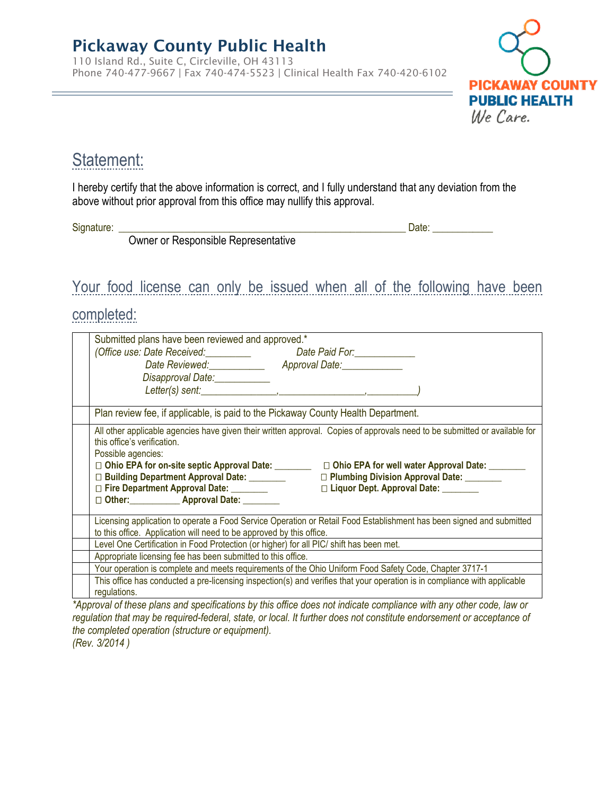Owner or Responsible Representative

110 Island Rd., Suite C, Circleville, OH 43113 Phone 740-477-9667 | Fax 740-474-5523 | Clinical Health Fax 740-420-6102



## Statement:

I hereby certify that the above information is correct, and I fully understand that any deviation from the above without prior approval from this office may nullify this approval.

Signature: \_\_\_\_\_\_\_\_\_\_\_\_\_\_\_\_\_\_\_\_\_\_\_\_\_\_\_\_\_\_\_\_\_\_\_\_\_\_\_\_\_\_\_\_\_\_\_\_\_\_\_\_\_\_\_\_\_ Date: \_\_\_\_\_\_\_\_\_\_\_\_

Your food license can only be issued when all of the following have been

### completed:

| Submitted plans have been reviewed and approved.*                                                                                                                                                                                                                                                                                                                                                                                                                  |  |  |  |  |
|--------------------------------------------------------------------------------------------------------------------------------------------------------------------------------------------------------------------------------------------------------------------------------------------------------------------------------------------------------------------------------------------------------------------------------------------------------------------|--|--|--|--|
| (Office use: Date Received: ___________ Date Paid For: ____________                                                                                                                                                                                                                                                                                                                                                                                                |  |  |  |  |
| Date Reviewed: ____________ Approval Date: ___________                                                                                                                                                                                                                                                                                                                                                                                                             |  |  |  |  |
| Disapproval Date: ____________                                                                                                                                                                                                                                                                                                                                                                                                                                     |  |  |  |  |
|                                                                                                                                                                                                                                                                                                                                                                                                                                                                    |  |  |  |  |
| Plan review fee, if applicable, is paid to the Pickaway County Health Department.                                                                                                                                                                                                                                                                                                                                                                                  |  |  |  |  |
| All other applicable agencies have given their written approval. Copies of approvals need to be submitted or available for<br>this office's verification.<br>Possible agencies:<br>□ Ohio EPA for on-site septic Approval Date: □ □ Ohio EPA for well water Approval Date: ■<br>□ Plumbing Division Approval Date: ________<br>□ Liquor Dept. Approval Date: _______<br>□ Fire Department Approval Date: ________<br>□ Other: ____________ Approval Date: ________ |  |  |  |  |
| Licensing application to operate a Food Service Operation or Retail Food Establishment has been signed and submitted                                                                                                                                                                                                                                                                                                                                               |  |  |  |  |
| to this office. Application will need to be approved by this office.                                                                                                                                                                                                                                                                                                                                                                                               |  |  |  |  |
| Level One Certification in Food Protection (or higher) for all PIC/ shift has been met.                                                                                                                                                                                                                                                                                                                                                                            |  |  |  |  |
| Appropriate licensing fee has been submitted to this office.                                                                                                                                                                                                                                                                                                                                                                                                       |  |  |  |  |
| Your operation is complete and meets requirements of the Ohio Uniform Food Safety Code, Chapter 3717-1                                                                                                                                                                                                                                                                                                                                                             |  |  |  |  |
| This office has conducted a pre-licensing inspection(s) and verifies that your operation is in compliance with applicable<br>regulations.                                                                                                                                                                                                                                                                                                                          |  |  |  |  |
| *Approval of these plane and appointments by this office deep not indicate compliance with ony other sode, low or                                                                                                                                                                                                                                                                                                                                                  |  |  |  |  |

*\*Approval of these plans and specifications by this office does not indicate compliance with any other code, law or regulation that may be required-federal, state, or local. It further does not constitute endorsement or acceptance of the completed operation (structure or equipment). (Rev. 3/2014 )*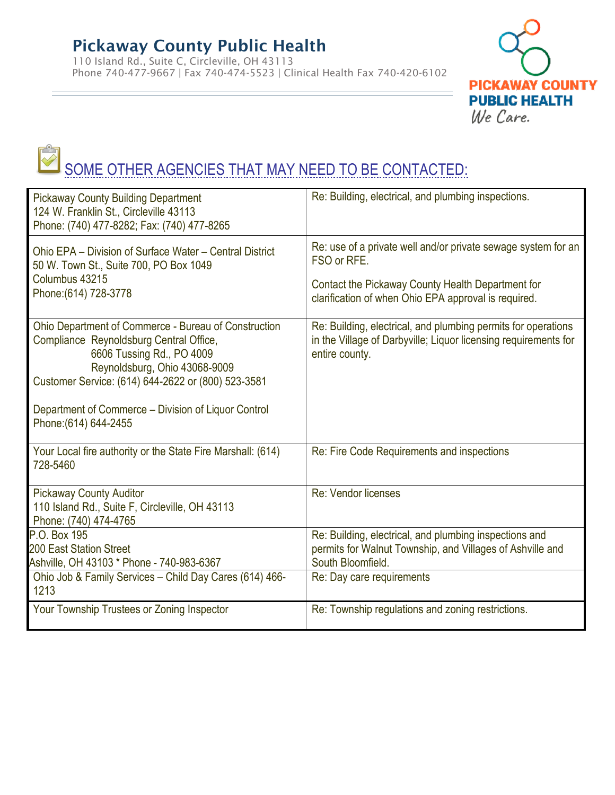110 Island Rd., Suite C, Circleville, OH 43113 Phone 740-477-9667 | Fax 740-474-5523 | Clinical Health Fax 740-420-6102



# SOME OTHER AGENCIES THAT MAY NEED TO BE CONTACTED:

| <b>Pickaway County Building Department</b><br>124 W. Franklin St., Circleville 43113<br>Phone: (740) 477-8282; Fax: (740) 477-8265                                                                                                                                                                  | Re: Building, electrical, and plumbing inspections.                                                                                                                                       |
|-----------------------------------------------------------------------------------------------------------------------------------------------------------------------------------------------------------------------------------------------------------------------------------------------------|-------------------------------------------------------------------------------------------------------------------------------------------------------------------------------------------|
| Ohio EPA - Division of Surface Water - Central District<br>50 W. Town St., Suite 700, PO Box 1049<br>Columbus 43215<br>Phone: (614) 728-3778                                                                                                                                                        | Re: use of a private well and/or private sewage system for an<br>FSO or RFE.<br>Contact the Pickaway County Health Department for<br>clarification of when Ohio EPA approval is required. |
| Ohio Department of Commerce - Bureau of Construction<br>Compliance Reynoldsburg Central Office,<br>6606 Tussing Rd., PO 4009<br>Reynoldsburg, Ohio 43068-9009<br>Customer Service: (614) 644-2622 or (800) 523-3581<br>Department of Commerce – Division of Liquor Control<br>Phone: (614) 644-2455 | Re: Building, electrical, and plumbing permits for operations<br>in the Village of Darbyville; Liquor licensing requirements for<br>entire county.                                        |
| Your Local fire authority or the State Fire Marshall: (614)<br>728-5460                                                                                                                                                                                                                             | Re: Fire Code Requirements and inspections                                                                                                                                                |
| <b>Pickaway County Auditor</b><br>110 Island Rd., Suite F, Circleville, OH 43113<br>Phone: (740) 474-4765                                                                                                                                                                                           | Re: Vendor licenses                                                                                                                                                                       |
| P.O. Box 195<br><b>200 East Station Street</b><br>Ashville, OH 43103 * Phone - 740-983-6367                                                                                                                                                                                                         | Re: Building, electrical, and plumbing inspections and<br>permits for Walnut Township, and Villages of Ashville and<br>South Bloomfield.                                                  |
| Ohio Job & Family Services - Child Day Cares (614) 466-<br>1213                                                                                                                                                                                                                                     | Re: Day care requirements                                                                                                                                                                 |
| Your Township Trustees or Zoning Inspector                                                                                                                                                                                                                                                          | Re: Township regulations and zoning restrictions.                                                                                                                                         |